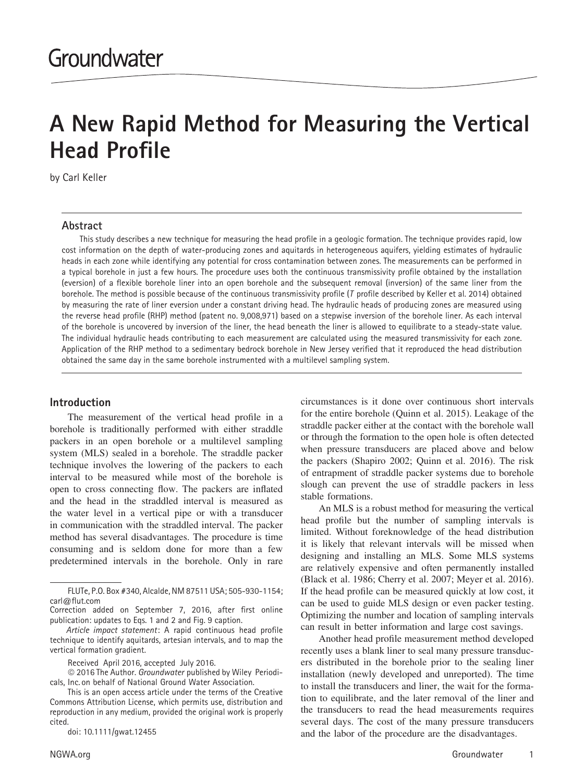# **A New Rapid Method for Measuring the Vertical Head Profile**

by Carl Keller

### **Abstract**

This study describes a new technique for measuring the head profile in a geologic formation. The technique provides rapid, low cost information on the depth of water-producing zones and aquitards in heterogeneous aquifers, yielding estimates of hydraulic heads in each zone while identifying any potential for cross contamination between zones. The measurements can be performed in a typical borehole in just a few hours. The procedure uses both the continuous transmissivity profile obtained by the installation (eversion) of a flexible borehole liner into an open borehole and the subsequent removal (inversion) of the same liner from the borehole. The method is possible because of the continuous transmissivity profile (*T* profile described by Keller et al. 2014) obtained by measuring the rate of liner eversion under a constant driving head. The hydraulic heads of producing zones are measured using the reverse head profile (RHP) method (patent no. 9,008,971) based on a stepwise inversion of the borehole liner. As each interval of the borehole is uncovered by inversion of the liner, the head beneath the liner is allowed to equilibrate to a steady-state value. The individual hydraulic heads contributing to each measurement are calculated using the measured transmissivity for each zone. Application of the RHP method to a sedimentary bedrock borehole in New Jersey verified that it reproduced the head distribution obtained the same day in the same borehole instrumented with a multilevel sampling system.

# **Introduction**

The measurement of the vertical head profile in a borehole is traditionally performed with either straddle packers in an open borehole or a multilevel sampling system (MLS) sealed in a borehole. The straddle packer technique involves the lowering of the packers to each interval to be measured while most of the borehole is open to cross connecting flow. The packers are inflated and the head in the straddled interval is measured as the water level in a vertical pipe or with a transducer in communication with the straddled interval. The packer method has several disadvantages. The procedure is time consuming and is seldom done for more than a few predetermined intervals in the borehole. Only in rare

doi: 10.1111/gwat.12455

circumstances is it done over continuous short intervals for the entire borehole (Quinn et al. 2015). Leakage of the straddle packer either at the contact with the borehole wall or through the formation to the open hole is often detected when pressure transducers are placed above and below the packers (Shapiro 2002; Quinn et al. 2016). The risk of entrapment of straddle packer systems due to borehole slough can prevent the use of straddle packers in less stable formations.

An MLS is a robust method for measuring the vertical head profile but the number of sampling intervals is limited. Without foreknowledge of the head distribution it is likely that relevant intervals will be missed when designing and installing an MLS. Some MLS systems are relatively expensive and often permanently installed (Black et al. 1986; Cherry et al. 2007; Meyer et al. 2016). If the head profile can be measured quickly at low cost, it can be used to guide MLS design or even packer testing. Optimizing the number and location of sampling intervals can result in better information and large cost savings.

Another head profile measurement method developed recently uses a blank liner to seal many pressure transducers distributed in the borehole prior to the sealing liner installation (newly developed and unreported). The time to install the transducers and liner, the wait for the formation to equilibrate, and the later removal of the liner and the transducers to read the head measurements requires several days. The cost of the many pressure transducers and the labor of the procedure are the disadvantages.

FLUTe, P.O. Box #340, Alcalde, NM 87511 USA; 505-930-1154; carl@flut.com

Correction added on September 7, 2016, after first online publication: updates to Eqs. 1 and 2 and Fig. 9 caption.

*Article impact statement*: A rapid continuous head profile technique to identify aquitards, artesian intervals, and to map the vertical formation gradient.

Received April 2016, accepted July 2016.

<sup>©</sup> 2016 The Author. *Groundwater* published by Wiley Periodicals, Inc. on behalf of National Ground Water Association.

This is an open access article under the terms of the Creative Commons Attribution License, which permits use, distribution and reproduction in any medium, provided the original work is properly cited.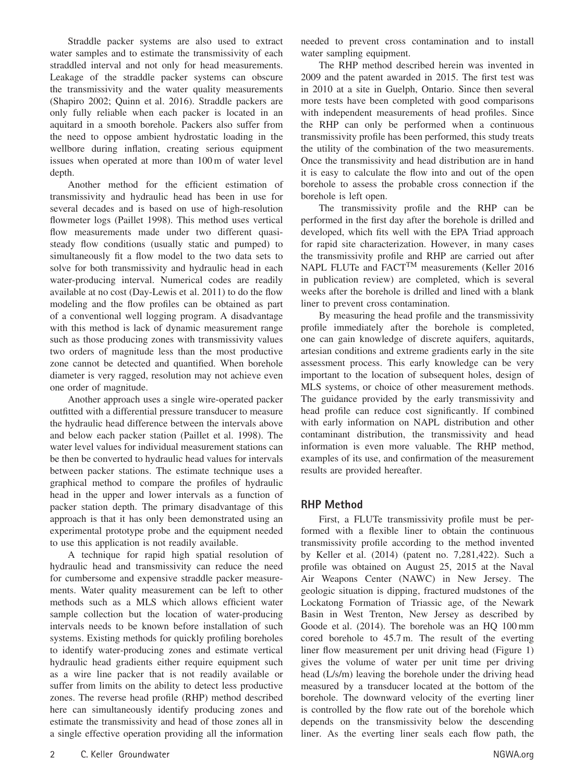Straddle packer systems are also used to extract water samples and to estimate the transmissivity of each straddled interval and not only for head measurements. Leakage of the straddle packer systems can obscure the transmissivity and the water quality measurements (Shapiro 2002; Quinn et al. 2016). Straddle packers are only fully reliable when each packer is located in an aquitard in a smooth borehole. Packers also suffer from the need to oppose ambient hydrostatic loading in the wellbore during inflation, creating serious equipment issues when operated at more than 100 m of water level depth.

Another method for the efficient estimation of transmissivity and hydraulic head has been in use for several decades and is based on use of high-resolution flowmeter logs (Paillet 1998). This method uses vertical flow measurements made under two different quasisteady flow conditions (usually static and pumped) to simultaneously fit a flow model to the two data sets to solve for both transmissivity and hydraulic head in each water-producing interval. Numerical codes are readily available at no cost (Day-Lewis et al. 2011) to do the flow modeling and the flow profiles can be obtained as part of a conventional well logging program. A disadvantage with this method is lack of dynamic measurement range such as those producing zones with transmissivity values two orders of magnitude less than the most productive zone cannot be detected and quantified. When borehole diameter is very ragged, resolution may not achieve even one order of magnitude.

Another approach uses a single wire-operated packer outfitted with a differential pressure transducer to measure the hydraulic head difference between the intervals above and below each packer station (Paillet et al. 1998). The water level values for individual measurement stations can be then be converted to hydraulic head values for intervals between packer stations. The estimate technique uses a graphical method to compare the profiles of hydraulic head in the upper and lower intervals as a function of packer station depth. The primary disadvantage of this approach is that it has only been demonstrated using an experimental prototype probe and the equipment needed to use this application is not readily available.

A technique for rapid high spatial resolution of hydraulic head and transmissivity can reduce the need for cumbersome and expensive straddle packer measurements. Water quality measurement can be left to other methods such as a MLS which allows efficient water sample collection but the location of water-producing intervals needs to be known before installation of such systems. Existing methods for quickly profiling boreholes to identify water-producing zones and estimate vertical hydraulic head gradients either require equipment such as a wire line packer that is not readily available or suffer from limits on the ability to detect less productive zones. The reverse head profile (RHP) method described here can simultaneously identify producing zones and estimate the transmissivity and head of those zones all in a single effective operation providing all the information needed to prevent cross contamination and to install water sampling equipment.

The RHP method described herein was invented in 2009 and the patent awarded in 2015. The first test was in 2010 at a site in Guelph, Ontario. Since then several more tests have been completed with good comparisons with independent measurements of head profiles. Since the RHP can only be performed when a continuous transmissivity profile has been performed, this study treats the utility of the combination of the two measurements. Once the transmissivity and head distribution are in hand it is easy to calculate the flow into and out of the open borehole to assess the probable cross connection if the borehole is left open.

The transmissivity profile and the RHP can be performed in the first day after the borehole is drilled and developed, which fits well with the EPA Triad approach for rapid site characterization. However, in many cases the transmissivity profile and RHP are carried out after NAPL FLUTe and FACT<sup>TM</sup> measurements (Keller 2016 in publication review) are completed, which is several weeks after the borehole is drilled and lined with a blank liner to prevent cross contamination.

By measuring the head profile and the transmissivity profile immediately after the borehole is completed, one can gain knowledge of discrete aquifers, aquitards, artesian conditions and extreme gradients early in the site assessment process. This early knowledge can be very important to the location of subsequent holes, design of MLS systems, or choice of other measurement methods. The guidance provided by the early transmissivity and head profile can reduce cost significantly. If combined with early information on NAPL distribution and other contaminant distribution, the transmissivity and head information is even more valuable. The RHP method, examples of its use, and confirmation of the measurement results are provided hereafter.

# **RHP Method**

First, a FLUTe transmissivity profile must be performed with a flexible liner to obtain the continuous transmissivity profile according to the method invented by Keller et al. (2014) (patent no. 7,281,422). Such a profile was obtained on August 25, 2015 at the Naval Air Weapons Center (NAWC) in New Jersey. The geologic situation is dipping, fractured mudstones of the Lockatong Formation of Triassic age, of the Newark Basin in West Trenton, New Jersey as described by Goode et al. (2014). The borehole was an HQ 100 mm cored borehole to 45.7 m. The result of the everting liner flow measurement per unit driving head (Figure 1) gives the volume of water per unit time per driving head (L/s/m) leaving the borehole under the driving head measured by a transducer located at the bottom of the borehole. The downward velocity of the everting liner is controlled by the flow rate out of the borehole which depends on the transmissivity below the descending liner. As the everting liner seals each flow path, the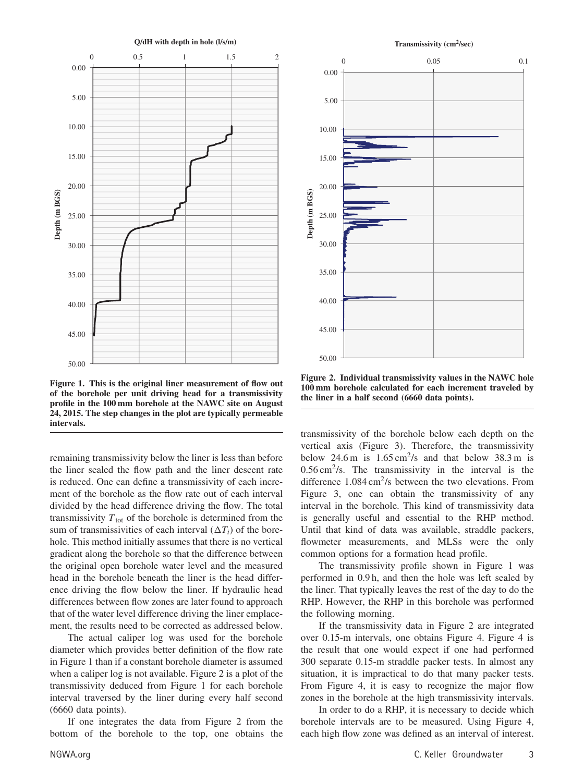**Q/dH with depth in hole (l/s/m)**



**Figure 1. This is the original liner measurement of flow out of the borehole per unit driving head for a transmissivity profile in the 100 mm borehole at the NAWC site on August 24, 2015. The step changes in the plot are typically permeable intervals.**

remaining transmissivity below the liner is less than before the liner sealed the flow path and the liner descent rate is reduced. One can define a transmissivity of each increment of the borehole as the flow rate out of each interval divided by the head difference driving the flow. The total transmissivity  $T_{\text{tot}}$  of the borehole is determined from the sum of transmissivities of each interval  $(\Delta T_i)$  of the borehole. This method initially assumes that there is no vertical gradient along the borehole so that the difference between the original open borehole water level and the measured head in the borehole beneath the liner is the head difference driving the flow below the liner. If hydraulic head differences between flow zones are later found to approach that of the water level difference driving the liner emplacement, the results need to be corrected as addressed below.

The actual caliper log was used for the borehole diameter which provides better definition of the flow rate in Figure 1 than if a constant borehole diameter is assumed when a caliper log is not available. Figure 2 is a plot of the transmissivity deduced from Figure 1 for each borehole interval traversed by the liner during every half second (6660 data points).

If one integrates the data from Figure 2 from the bottom of the borehole to the top, one obtains the



**Figure 2. Individual transmissivity values in the NAWC hole 100 mm borehole calculated for each increment traveled by the liner in a half second (6660 data points).**

transmissivity of the borehole below each depth on the vertical axis (Figure 3). Therefore, the transmissivity below 24.6 m is  $1.65 \text{ cm}^2/\text{s}$  and that below 38.3 m is  $0.56 \text{ cm}^2/\text{s}$ . The transmissivity in the interval is the difference  $1.084 \text{ cm}^2/\text{s}$  between the two elevations. From Figure 3, one can obtain the transmissivity of any interval in the borehole. This kind of transmissivity data is generally useful and essential to the RHP method. Until that kind of data was available, straddle packers, flowmeter measurements, and MLSs were the only common options for a formation head profile.

The transmissivity profile shown in Figure 1 was performed in 0.9 h, and then the hole was left sealed by the liner. That typically leaves the rest of the day to do the RHP. However, the RHP in this borehole was performed the following morning.

If the transmissivity data in Figure 2 are integrated over 0.15-m intervals, one obtains Figure 4. Figure 4 is the result that one would expect if one had performed 300 separate 0.15-m straddle packer tests. In almost any situation, it is impractical to do that many packer tests. From Figure 4, it is easy to recognize the major flow zones in the borehole at the high transmissivity intervals.

In order to do a RHP, it is necessary to decide which borehole intervals are to be measured. Using Figure 4, each high flow zone was defined as an interval of interest.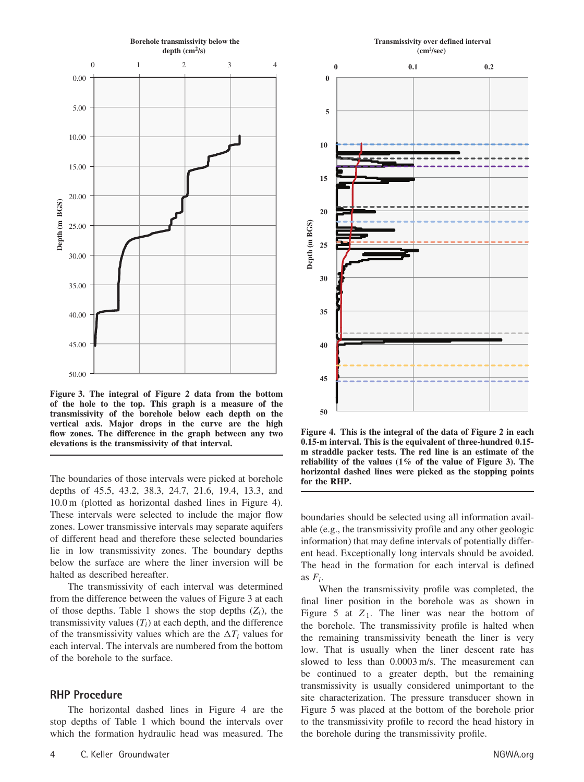

**Figure 3. The integral of Figure 2 data from the bottom of the hole to the top. This graph is a measure of the transmissivity of the borehole below each depth on the vertical axis. Major drops in the curve are the high flow zones. The difference in the graph between any two elevations is the transmissivity of that interval.**

The boundaries of those intervals were picked at borehole depths of 45.5, 43.2, 38.3, 24.7, 21.6, 19.4, 13.3, and 10.0 m (plotted as horizontal dashed lines in Figure 4). These intervals were selected to include the major flow zones. Lower transmissive intervals may separate aquifers of different head and therefore these selected boundaries lie in low transmissivity zones. The boundary depths below the surface are where the liner inversion will be halted as described hereafter.

The transmissivity of each interval was determined from the difference between the values of Figure 3 at each of those depths. Table 1 shows the stop depths  $(Z_i)$ , the transmissivity values  $(T<sub>i</sub>)$  at each depth, and the difference of the transmissivity values which are the  $\Delta T_i$  values for each interval. The intervals are numbered from the bottom of the borehole to the surface.

## **RHP Procedure**

The horizontal dashed lines in Figure 4 are the stop depths of Table 1 which bound the intervals over which the formation hydraulic head was measured. The



**Figure 4. This is the integral of the data of Figure 2 in each 0.15-m interval. This is the equivalent of three-hundred 0.15 m straddle packer tests. The red line is an estimate of the reliability of the values (1% of the value of Figure 3). The horizontal dashed lines were picked as the stopping points for the RHP.**

boundaries should be selected using all information available (e.g., the transmissivity profile and any other geologic information) that may define intervals of potentially different head. Exceptionally long intervals should be avoided. The head in the formation for each interval is defined as *Fi*.

When the transmissivity profile was completed, the final liner position in the borehole was as shown in Figure 5 at  $Z_1$ . The liner was near the bottom of the borehole. The transmissivity profile is halted when the remaining transmissivity beneath the liner is very low. That is usually when the liner descent rate has slowed to less than 0.0003 m/s. The measurement can be continued to a greater depth, but the remaining transmissivity is usually considered unimportant to the site characterization. The pressure transducer shown in Figure 5 was placed at the bottom of the borehole prior to the transmissivity profile to record the head history in the borehole during the transmissivity profile.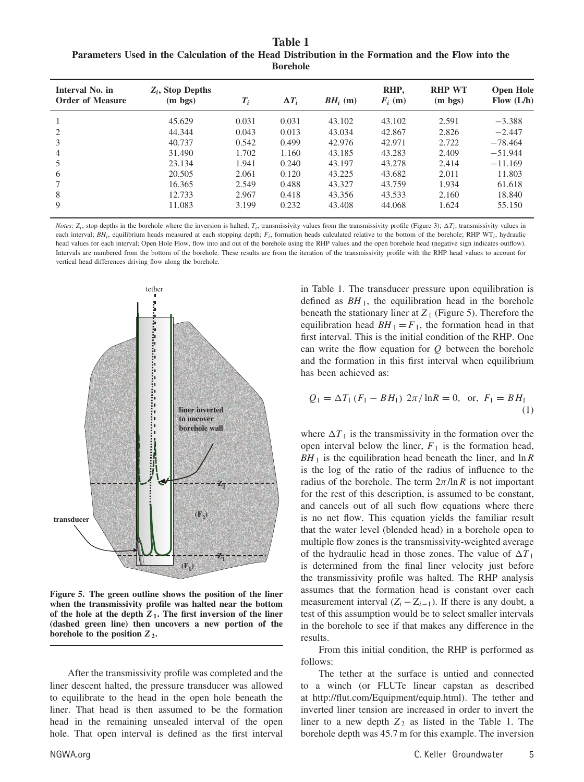**Table 1 Parameters Used in the Calculation of the Head Distribution in the Formation and the Flow into the Borehole**

| Interval No. in<br><b>Order of Measure</b> | $Z_i$ , Stop Depths<br>$(m \text{ bgs})$ | $T_i$ | $\Delta T_i$ | $BHi$ (m) | RHP,<br>$F_i$ (m) | <b>RHP WT</b><br>$(m \text{ bgs})$ | <b>Open Hole</b><br>Flow $(L/h)$ |
|--------------------------------------------|------------------------------------------|-------|--------------|-----------|-------------------|------------------------------------|----------------------------------|
|                                            | 45.629                                   | 0.031 | 0.031        | 43.102    | 43.102            | 2.591                              | $-3.388$                         |
| 2                                          | 44.344                                   | 0.043 | 0.013        | 43.034    | 42.867            | 2.826                              | $-2.447$                         |
| 3                                          | 40.737                                   | 0.542 | 0.499        | 42.976    | 42.971            | 2.722                              | $-78.464$                        |
| $\overline{4}$                             | 31.490                                   | 1.702 | 1.160        | 43.185    | 43.283            | 2.409                              | $-51.944$                        |
| 5                                          | 23.134                                   | 1.941 | 0.240        | 43.197    | 43.278            | 2.414                              | $-11.169$                        |
| 6                                          | 20.505                                   | 2.061 | 0.120        | 43.225    | 43.682            | 2.011                              | 11.803                           |
|                                            | 16.365                                   | 2.549 | 0.488        | 43.327    | 43.759            | 1.934                              | 61.618                           |
| 8                                          | 12.733                                   | 2.967 | 0.418        | 43.356    | 43.533            | 2.160                              | 18.840                           |
| 9                                          | 11.083                                   | 3.199 | 0.232        | 43.408    | 44.068            | 1.624                              | 55.150                           |

*Notes:*  $Z_i$ , stop depths in the borehole where the inversion is halted;  $T_i$ , transmissivity values from the transmissivity profile (Figure 3);  $\Delta T_i$ , transmissivity values in each interval; *BH<sub>i</sub>*, equilibrium heads measured at each stopping depth;  $F_i$ , formation heads calculated relative to the bottom of the borehole; RHP WT<sub>i</sub>, hydraulic head values for each interval; Open Hole Flow, flow into and out of the borehole using the RHP values and the open borehole head (negative sign indicates outflow). Intervals are numbered from the bottom of the borehole. These results are from the iteration of the transmissivity profile with the RHP head values to account for vertical head differences driving flow along the borehole.



**Figure 5. The green outline shows the position of the liner when the transmissivity profile was halted near the bottom** of the hole at the depth  $Z_1$ . The first inversion of the liner **(dashed green line) then uncovers a new portion of the borehole to the position** *Z***2.**

After the transmissivity profile was completed and the liner descent halted, the pressure transducer was allowed to equilibrate to the head in the open hole beneath the liner. That head is then assumed to be the formation head in the remaining unsealed interval of the open hole. That open interval is defined as the first interval

in Table 1. The transducer pressure upon equilibration is defined as  $BH<sub>1</sub>$ , the equilibration head in the borehole beneath the stationary liner at  $Z_1$  (Figure 5). Therefore the equilibration head  $BH_1 = F_1$ , the formation head in that first interval. This is the initial condition of the RHP. One can write the flow equation for *Q* between the borehole and the formation in this first interval when equilibrium has been achieved as:

$$
Q_1 = \Delta T_1 (F_1 - BH_1) 2\pi / \ln R = 0, \text{ or, } F_1 = BH_1
$$
<sup>(1)</sup>

where  $\Delta T_1$  is the transmissivity in the formation over the open interval below the liner,  $F_1$  is the formation head,  $BH<sub>1</sub>$  is the equilibration head beneath the liner, and  $\ln R$ is the log of the ratio of the radius of influence to the radius of the borehole. The term  $2\pi/\ln R$  is not important for the rest of this description, is assumed to be constant, and cancels out of all such flow equations where there is no net flow. This equation yields the familiar result that the water level (blended head) in a borehole open to multiple flow zones is the transmissivity-weighted average of the hydraulic head in those zones. The value of  $\Delta T_1$ is determined from the final liner velocity just before the transmissivity profile was halted. The RHP analysis assumes that the formation head is constant over each measurement interval  $(Z_i - Z_{i-1})$ . If there is any doubt, a test of this assumption would be to select smaller intervals in the borehole to see if that makes any difference in the results.

From this initial condition, the RHP is performed as follows:

The tether at the surface is untied and connected to a winch (or FLUTe linear capstan as described at http://flut.com/Equipment/equip.html). The tether and inverted liner tension are increased in order to invert the liner to a new depth  $Z_2$  as listed in the Table 1. The borehole depth was 45.7 m for this example. The inversion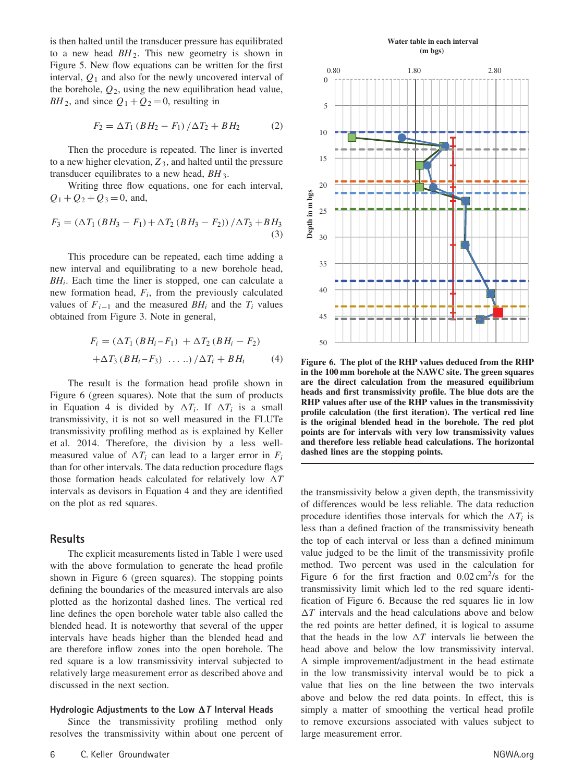is then halted until the transducer pressure has equilibrated to a new head  $BH<sub>2</sub>$ . This new geometry is shown in Figure 5. New flow equations can be written for the first interval,  $Q_1$  and also for the newly uncovered interval of the borehole,  $Q_2$ , using the new equilibration head value, *BH* 2, and since  $Q_1 + Q_2 = 0$ , resulting in

$$
F_2 = \Delta T_1 (BH_2 - F_1) / \Delta T_2 + BH_2 \tag{2}
$$

Then the procedure is repeated. The liner is inverted to a new higher elevation,  $Z_3$ , and halted until the pressure transducer equilibrates to a new head,  $BH_3$ .

Writing three flow equations, one for each interval,  $Q_1 + Q_2 + Q_3 = 0$ , and,

$$
F_3 = \left(\Delta T_1 \left(BH_3 - F_1\right) + \Delta T_2 \left(BH_3 - F_2\right)\right) / \Delta T_3 + BH_3
$$
\n(3)

This procedure can be repeated, each time adding a new interval and equilibrating to a new borehole head, *BHi*. Each time the liner is stopped, one can calculate a new formation head, *Fi*, from the previously calculated values of  $F_{i-1}$  and the measured  $BH_i$  and the  $T_i$  values obtained from Figure 3. Note in general,

$$
F_i = (\Delta T_1 (BH_i - F_1) + \Delta T_2 (BH_i - F_2)
$$
  
+
$$
\Delta T_3 (BH_i - F_3) \dots )/\Delta T_i + BH_i
$$
 (4)

The result is the formation head profile shown in Figure 6 (green squares). Note that the sum of products in Equation 4 is divided by  $\Delta T_i$ . If  $\Delta T_i$  is a small transmissivity, it is not so well measured in the FLUTe transmissivity profiling method as is explained by Keller et al. 2014. Therefore, the division by a less wellmeasured value of  $\Delta T_i$  can lead to a larger error in  $F_i$ than for other intervals. The data reduction procedure flags those formation heads calculated for relatively low  $\Delta T$ intervals as devisors in Equation 4 and they are identified on the plot as red squares.

#### **Results**

The explicit measurements listed in Table 1 were used with the above formulation to generate the head profile shown in Figure 6 (green squares). The stopping points defining the boundaries of the measured intervals are also plotted as the horizontal dashed lines. The vertical red line defines the open borehole water table also called the blended head. It is noteworthy that several of the upper intervals have heads higher than the blended head and are therefore inflow zones into the open borehole. The red square is a low transmissivity interval subjected to relatively large measurement error as described above and discussed in the next section.

#### Hydrologic Adjustments to the Low  $\Delta T$  Interval Heads

Since the transmissivity profiling method only resolves the transmissivity within about one percent of



**Figure 6. The plot of the RHP values deduced from the RHP in the 100 mm borehole at the NAWC site. The green squares are the direct calculation from the measured equilibrium heads and first transmissivity profile. The blue dots are the RHP values after use of the RHP values in the transmissivity profile calculation (the first iteration). The vertical red line is the original blended head in the borehole. The red plot points are for intervals with very low transmissivity values and therefore less reliable head calculations. The horizontal dashed lines are the stopping points.**

the transmissivity below a given depth, the transmissivity of differences would be less reliable. The data reduction procedure identifies those intervals for which the  $\Delta T_i$  is less than a defined fraction of the transmissivity beneath the top of each interval or less than a defined minimum value judged to be the limit of the transmissivity profile method. Two percent was used in the calculation for Figure 6 for the first fraction and  $0.02 \text{ cm}^2/\text{s}$  for the transmissivity limit which led to the red square identification of Figure 6. Because the red squares lie in low  $\Delta T$  intervals and the head calculations above and below the red points are better defined, it is logical to assume that the heads in the low  $\Delta T$  intervals lie between the head above and below the low transmissivity interval. A simple improvement/adjustment in the head estimate in the low transmissivity interval would be to pick a value that lies on the line between the two intervals above and below the red data points. In effect, this is simply a matter of smoothing the vertical head profile to remove excursions associated with values subject to large measurement error.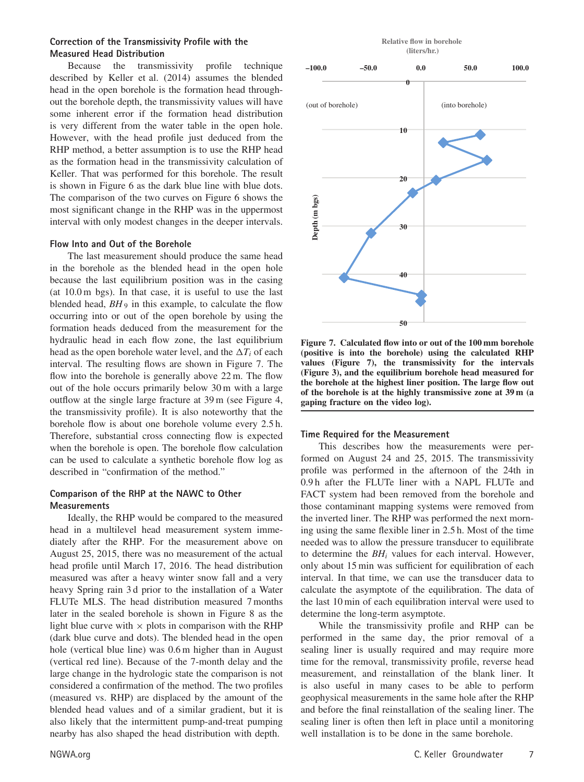## **Correction of the Transmissivity Profile with the Measured Head Distribution**

Because the transmissivity profile technique described by Keller et al. (2014) assumes the blended head in the open borehole is the formation head throughout the borehole depth, the transmissivity values will have some inherent error if the formation head distribution is very different from the water table in the open hole. However, with the head profile just deduced from the RHP method, a better assumption is to use the RHP head as the formation head in the transmissivity calculation of Keller. That was performed for this borehole. The result is shown in Figure 6 as the dark blue line with blue dots. The comparison of the two curves on Figure 6 shows the most significant change in the RHP was in the uppermost interval with only modest changes in the deeper intervals.

#### **Flow Into and Out of the Borehole**

The last measurement should produce the same head in the borehole as the blended head in the open hole because the last equilibrium position was in the casing (at  $10.0 \text{ m}$  bgs). In that case, it is useful to use the last blended head,  $BH<sub>9</sub>$  in this example, to calculate the flow occurring into or out of the open borehole by using the formation heads deduced from the measurement for the hydraulic head in each flow zone, the last equilibrium head as the open borehole water level, and the  $\Delta T_i$  of each interval. The resulting flows are shown in Figure 7. The flow into the borehole is generally above 22 m. The flow out of the hole occurs primarily below 30 m with a large outflow at the single large fracture at 39 m (see Figure 4, the transmissivity profile). It is also noteworthy that the borehole flow is about one borehole volume every 2.5 h. Therefore, substantial cross connecting flow is expected when the borehole is open. The borehole flow calculation can be used to calculate a synthetic borehole flow log as described in "confirmation of the method."

## **Comparison of the RHP at the NAWC to Other Measurements**

Ideally, the RHP would be compared to the measured head in a multilevel head measurement system immediately after the RHP. For the measurement above on August 25, 2015, there was no measurement of the actual head profile until March 17, 2016. The head distribution measured was after a heavy winter snow fall and a very heavy Spring rain 3 d prior to the installation of a Water FLUTe MLS. The head distribution measured 7 months later in the sealed borehole is shown in Figure 8 as the light blue curve with  $\times$  plots in comparison with the RHP (dark blue curve and dots). The blended head in the open hole (vertical blue line) was 0.6 m higher than in August (vertical red line). Because of the 7-month delay and the large change in the hydrologic state the comparison is not considered a confirmation of the method. The two profiles (measured vs. RHP) are displaced by the amount of the blended head values and of a similar gradient, but it is also likely that the intermittent pump-and-treat pumping nearby has also shaped the head distribution with depth.



**Figure 7. Calculated flow into or out of the 100 mm borehole (positive is into the borehole) using the calculated RHP values (Figure 7), the transmissivity for the intervals (Figure 3), and the equilibrium borehole head measured for the borehole at the highest liner position. The large flow out of the borehole is at the highly transmissive zone at 39 m (a gaping fracture on the video log).**

#### **Time Required for the Measurement**

This describes how the measurements were performed on August 24 and 25, 2015. The transmissivity profile was performed in the afternoon of the 24th in 0.9 h after the FLUTe liner with a NAPL FLUTe and FACT system had been removed from the borehole and those contaminant mapping systems were removed from the inverted liner. The RHP was performed the next morning using the same flexible liner in 2.5 h. Most of the time needed was to allow the pressure transducer to equilibrate to determine the *BHi* values for each interval. However, only about 15 min was sufficient for equilibration of each interval. In that time, we can use the transducer data to calculate the asymptote of the equilibration. The data of the last 10 min of each equilibration interval were used to determine the long-term asymptote.

While the transmissivity profile and RHP can be performed in the same day, the prior removal of a sealing liner is usually required and may require more time for the removal, transmissivity profile, reverse head measurement, and reinstallation of the blank liner. It is also useful in many cases to be able to perform geophysical measurements in the same hole after the RHP and before the final reinstallation of the sealing liner. The sealing liner is often then left in place until a monitoring well installation is to be done in the same borehole.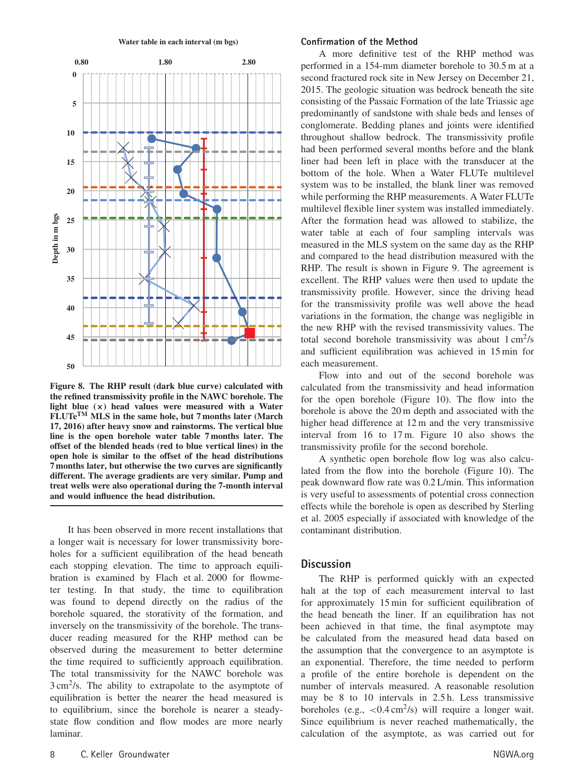

**Figure 8. The RHP result (dark blue curve) calculated with the refined transmissivity profile in the NAWC borehole. The light blue (×) head values were measured with a Water FLUTeTM MLS in the same hole, but 7 months later (March 17, 2016) after heavy snow and rainstorms. The vertical blue line is the open borehole water table 7 months later. The offset of the blended heads (red to blue vertical lines) in the open hole is similar to the offset of the head distributions 7 months later, but otherwise the two curves are significantly different. The average gradients are very similar. Pump and treat wells were also operational during the 7-month interval and would influence the head distribution.**

It has been observed in more recent installations that a longer wait is necessary for lower transmissivity boreholes for a sufficient equilibration of the head beneath each stopping elevation. The time to approach equilibration is examined by Flach et al. 2000 for flowmeter testing. In that study, the time to equilibration was found to depend directly on the radius of the borehole squared, the storativity of the formation, and inversely on the transmissivity of the borehole. The transducer reading measured for the RHP method can be observed during the measurement to better determine the time required to sufficiently approach equilibration. The total transmissivity for the NAWC borehole was  $3 \text{ cm}^2$ /s. The ability to extrapolate to the asymptote of equilibration is better the nearer the head measured is to equilibrium, since the borehole is nearer a steadystate flow condition and flow modes are more nearly laminar.

#### **Confirmation of the Method**

A more definitive test of the RHP method was performed in a 154-mm diameter borehole to 30.5 m at a second fractured rock site in New Jersey on December 21, 2015. The geologic situation was bedrock beneath the site consisting of the Passaic Formation of the late Triassic age predominantly of sandstone with shale beds and lenses of conglomerate. Bedding planes and joints were identified throughout shallow bedrock. The transmissivity profile had been performed several months before and the blank liner had been left in place with the transducer at the bottom of the hole. When a Water FLUTe multilevel system was to be installed, the blank liner was removed while performing the RHP measurements. A Water FLUTe multilevel flexible liner system was installed immediately. After the formation head was allowed to stabilize, the water table at each of four sampling intervals was measured in the MLS system on the same day as the RHP and compared to the head distribution measured with the RHP. The result is shown in Figure 9. The agreement is excellent. The RHP values were then used to update the transmissivity profile. However, since the driving head for the transmissivity profile was well above the head variations in the formation, the change was negligible in the new RHP with the revised transmissivity values. The total second borehole transmissivity was about  $1 \text{ cm}^2/\text{s}$ and sufficient equilibration was achieved in 15 min for each measurement.

Flow into and out of the second borehole was calculated from the transmissivity and head information for the open borehole (Figure 10). The flow into the borehole is above the 20 m depth and associated with the higher head difference at 12 m and the very transmissive interval from 16 to 17 m. Figure 10 also shows the transmissivity profile for the second borehole.

A synthetic open borehole flow log was also calculated from the flow into the borehole (Figure 10). The peak downward flow rate was 0.2 L/min. This information is very useful to assessments of potential cross connection effects while the borehole is open as described by Sterling et al. 2005 especially if associated with knowledge of the contaminant distribution.

#### **Discussion**

The RHP is performed quickly with an expected halt at the top of each measurement interval to last for approximately 15 min for sufficient equilibration of the head beneath the liner. If an equilibration has not been achieved in that time, the final asymptote may be calculated from the measured head data based on the assumption that the convergence to an asymptote is an exponential. Therefore, the time needed to perform a profile of the entire borehole is dependent on the number of intervals measured. A reasonable resolution may be 8 to 10 intervals in 2.5 h. Less transmissive boreholes (e.g.,  $\langle 0.4 \text{ cm}^2/\text{s} \rangle$  will require a longer wait. Since equilibrium is never reached mathematically, the calculation of the asymptote, as was carried out for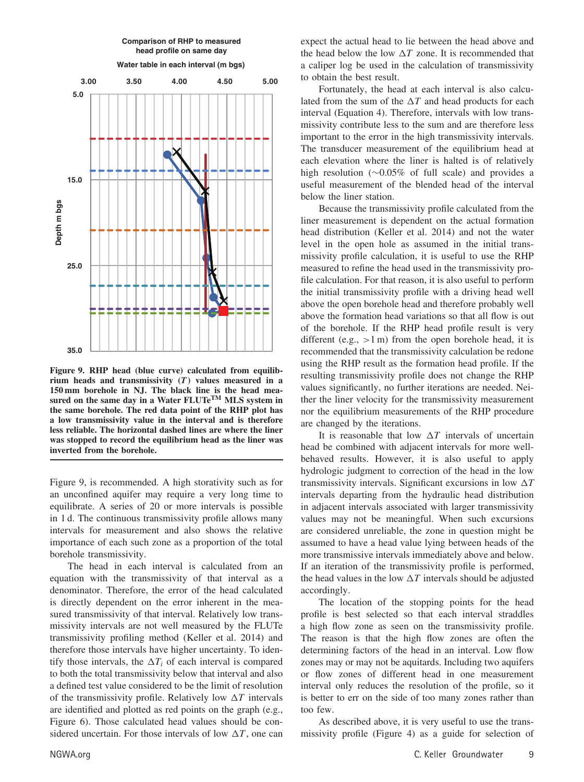

**Figure 9. RHP head (blue curve) calculated from equilibrium heads and transmissivity (***T***) values measured in a 150 mm borehole in NJ. The black line is the head measured on the same day in a Water FLUTeTM MLS system in the same borehole. The red data point of the RHP plot has a low transmissivity value in the interval and is therefore less reliable. The horizontal dashed lines are where the liner was stopped to record the equilibrium head as the liner was inverted from the borehole.**

Figure 9, is recommended. A high storativity such as for an unconfined aquifer may require a very long time to equilibrate. A series of 20 or more intervals is possible in 1 d. The continuous transmissivity profile allows many intervals for measurement and also shows the relative importance of each such zone as a proportion of the total borehole transmissivity.

The head in each interval is calculated from an equation with the transmissivity of that interval as a denominator. Therefore, the error of the head calculated is directly dependent on the error inherent in the measured transmissivity of that interval. Relatively low transmissivity intervals are not well measured by the FLUTe transmissivity profiling method (Keller et al. 2014) and therefore those intervals have higher uncertainty. To identify those intervals, the  $\Delta T_i$  of each interval is compared to both the total transmissivity below that interval and also a defined test value considered to be the limit of resolution of the transmissivity profile. Relatively low  $\Delta T$  intervals are identified and plotted as red points on the graph (e.g., Figure 6). Those calculated head values should be considered uncertain. For those intervals of low  $\Delta T$ , one can

expect the actual head to lie between the head above and the head below the low  $\Delta T$  zone. It is recommended that a caliper log be used in the calculation of transmissivity to obtain the best result.

Fortunately, the head at each interval is also calculated from the sum of the  $\Delta T$  and head products for each interval (Equation 4). Therefore, intervals with low transmissivity contribute less to the sum and are therefore less important to the error in the high transmissivity intervals. The transducer measurement of the equilibrium head at each elevation where the liner is halted is of relatively high resolution (∼0.05% of full scale) and provides a useful measurement of the blended head of the interval below the liner station.

Because the transmissivity profile calculated from the liner measurement is dependent on the actual formation head distribution (Keller et al. 2014) and not the water level in the open hole as assumed in the initial transmissivity profile calculation, it is useful to use the RHP measured to refine the head used in the transmissivity profile calculation. For that reason, it is also useful to perform the initial transmissivity profile with a driving head well above the open borehole head and therefore probably well above the formation head variations so that all flow is out of the borehole. If the RHP head profile result is very different (e.g., *>*1 m) from the open borehole head, it is recommended that the transmissivity calculation be redone using the RHP result as the formation head profile. If the resulting transmissivity profile does not change the RHP values significantly, no further iterations are needed. Neither the liner velocity for the transmissivity measurement nor the equilibrium measurements of the RHP procedure are changed by the iterations.

It is reasonable that low  $\Delta T$  intervals of uncertain head be combined with adjacent intervals for more wellbehaved results. However, it is also useful to apply hydrologic judgment to correction of the head in the low transmissivity intervals. Significant excursions in low  $\Delta T$ intervals departing from the hydraulic head distribution in adjacent intervals associated with larger transmissivity values may not be meaningful. When such excursions are considered unreliable, the zone in question might be assumed to have a head value lying between heads of the more transmissive intervals immediately above and below. If an iteration of the transmissivity profile is performed, the head values in the low  $\Delta T$  intervals should be adjusted accordingly.

The location of the stopping points for the head profile is best selected so that each interval straddles a high flow zone as seen on the transmissivity profile. The reason is that the high flow zones are often the determining factors of the head in an interval. Low flow zones may or may not be aquitards. Including two aquifers or flow zones of different head in one measurement interval only reduces the resolution of the profile, so it is better to err on the side of too many zones rather than too few.

As described above, it is very useful to use the transmissivity profile (Figure 4) as a guide for selection of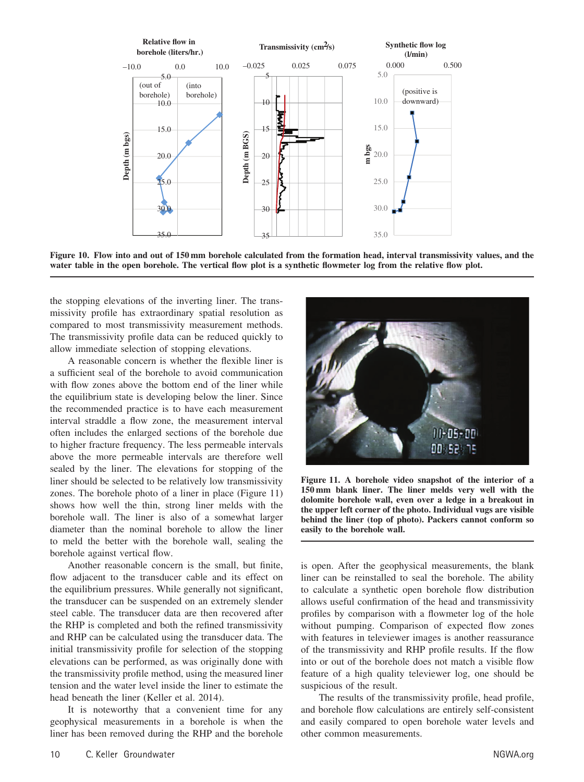

**Figure 10. Flow into and out of 150 mm borehole calculated from the formation head, interval transmissivity values, and the water table in the open borehole. The vertical flow plot is a synthetic flowmeter log from the relative flow plot.**

the stopping elevations of the inverting liner. The transmissivity profile has extraordinary spatial resolution as compared to most transmissivity measurement methods. The transmissivity profile data can be reduced quickly to allow immediate selection of stopping elevations.

A reasonable concern is whether the flexible liner is a sufficient seal of the borehole to avoid communication with flow zones above the bottom end of the liner while the equilibrium state is developing below the liner. Since the recommended practice is to have each measurement interval straddle a flow zone, the measurement interval often includes the enlarged sections of the borehole due to higher fracture frequency. The less permeable intervals above the more permeable intervals are therefore well sealed by the liner. The elevations for stopping of the liner should be selected to be relatively low transmissivity zones. The borehole photo of a liner in place (Figure 11) shows how well the thin, strong liner melds with the borehole wall. The liner is also of a somewhat larger diameter than the nominal borehole to allow the liner to meld the better with the borehole wall, sealing the borehole against vertical flow.

Another reasonable concern is the small, but finite, flow adjacent to the transducer cable and its effect on the equilibrium pressures. While generally not significant, the transducer can be suspended on an extremely slender steel cable. The transducer data are then recovered after the RHP is completed and both the refined transmissivity and RHP can be calculated using the transducer data. The initial transmissivity profile for selection of the stopping elevations can be performed, as was originally done with the transmissivity profile method, using the measured liner tension and the water level inside the liner to estimate the head beneath the liner (Keller et al. 2014).

It is noteworthy that a convenient time for any geophysical measurements in a borehole is when the liner has been removed during the RHP and the borehole



**Figure 11. A borehole video snapshot of the interior of a 150 mm blank liner. The liner melds very well with the dolomite borehole wall, even over a ledge in a breakout in the upper left corner of the photo. Individual vugs are visible behind the liner (top of photo). Packers cannot conform so easily to the borehole wall.**

is open. After the geophysical measurements, the blank liner can be reinstalled to seal the borehole. The ability to calculate a synthetic open borehole flow distribution allows useful confirmation of the head and transmissivity profiles by comparison with a flowmeter log of the hole without pumping. Comparison of expected flow zones with features in televiewer images is another reassurance of the transmissivity and RHP profile results. If the flow into or out of the borehole does not match a visible flow feature of a high quality televiewer log, one should be suspicious of the result.

The results of the transmissivity profile, head profile, and borehole flow calculations are entirely self-consistent and easily compared to open borehole water levels and other common measurements.